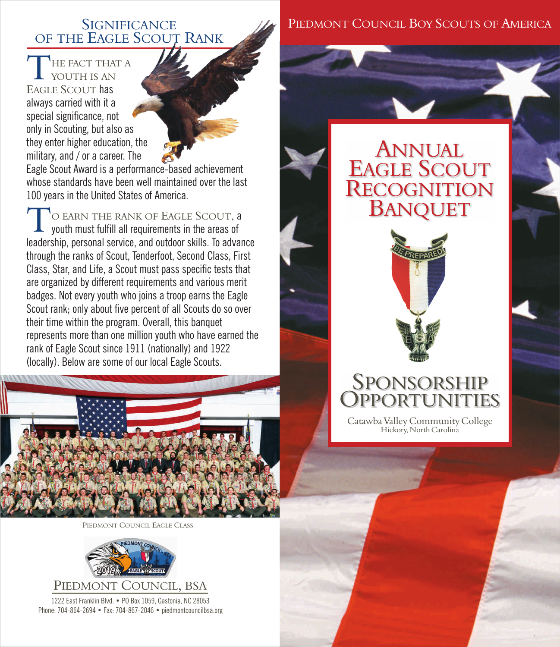#### **SIGNIFICANCE** OF THE EAGLE SCOUT RANK

T HE FACT THAT A YOUTH IS AN EAGLE SCOUT has always carried with it a special significance, not only in Scouting, but also as they enter higher education, the military, and / or a career. The

Eagle Scout Award is a performance-based achievement whose standards have been well maintained over the last 100 years in the United States of America.

O EARN THE RANK OF EAGLE SCOUT, a youth must fulfill all requirements in the areas of leadership, personal service, and outdoor skills. To advance through the ranks of Scout, Tenderfoot, Second Class, First Class, Star, and Life, a Scout must pass specific tests that are organized by different requirements and various merit badges. Not every youth who joins a troop earns the Eagle Scout rank; only about five percent of all Scouts do so over their time within the program. Overall, this banquet represents more than one million youth who have earned the rank of Eagle Scout since 1911 (nationally) and 1922 (locally). Below are some of our local Eagle Scouts.



COUNCIL EAGLE CLASS



1222 East Franklin Blvd. • PO Box 1059, Gastonia, NC 28053 Phone: 704-864-2694 • Fax: 704-867-2046 • piedmontcouncilbsa.org

#### PIEDMONT COUNCIL BOY SCOUTS OF AMERICA

# ANNUAL EAGLE SCOUT **RECOGNITION** BANQUET



## SPONSORSHIP **OPPORTUNITIES**

Catawba Valley Community College Hickory, North Carolina